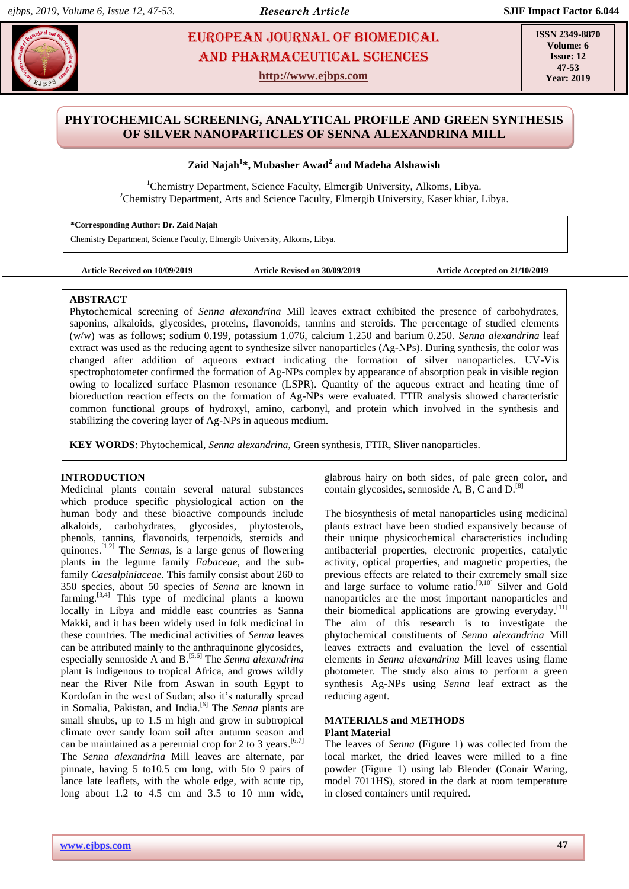# **EUROPEAN JOURNAL OF BIOMEDICAL EUROPEAN SOURNAL OF BIOMEDICAL** AND Pharmaceutical sciences

**http://www.ejbps.com**

**ISSN 2349-8870 Volume: 6 Issue: 12 47-53 Year: 2019**

# **PHYTOCHEMICAL SCREENING, ANALYTICAL PROFILE AND GREEN SYNTHESIS OF SILVER NANOPARTICLES OF SENNA ALEXANDRINA MILL**

**Zaid Najah<sup>1</sup> \*, Mubasher Awad<sup>2</sup> and Madeha Alshawish**

<sup>1</sup>Chemistry Department, Science Faculty, Elmergib University, Alkoms, Libya. <sup>2</sup>Chemistry Department, Arts and Science Faculty, Elmergib University, Kaser khiar, Libya.

**\*Corresponding Author: Dr. Zaid Najah**

Chemistry Department, Science Faculty, Elmergib University, Alkoms, Libya.

```
Article Received on 10/09/2019 Article Revised on 30/09/2019 Article Accepted on 21/10/2019
```
# **ABSTRACT**

Phytochemical screening of *Senna alexandrina* Mill leaves extract exhibited the presence of carbohydrates, saponins, alkaloids, glycosides, proteins, flavonoids, tannins and steroids. The percentage of studied elements (w/w) was as follows; sodium 0.199, potassium 1.076, calcium 1.250 and barium 0.250. *Senna alexandrina* leaf extract was used as the reducing agent to synthesize silver nanoparticles (Ag-NPs). During synthesis, the color was changed after addition of aqueous extract indicating the formation of silver nanoparticles. UV-Vis spectrophotometer confirmed the formation of Ag-NPs complex by appearance of absorption peak in visible region owing to localized surface Plasmon resonance (LSPR). Quantity of the aqueous extract and heating time of bioreduction reaction effects on the formation of Ag-NPs were evaluated. FTIR analysis showed characteristic common functional groups of hydroxyl, amino, carbonyl, and protein which involved in the synthesis and stabilizing the covering layer of Ag-NPs in aqueous medium.

**KEY WORDS**: Phytochemical, *Senna alexandrina*, Green synthesis, FTIR, Sliver nanoparticles.

# **INTRODUCTION**

Medicinal plants contain several natural substances which produce specific physiological action on the human body and these bioactive compounds include alkaloids, carbohydrates, glycosides, phytosterols, phenols, tannins, flavonoids, terpenoids, steroids and quinones. [1,2] The *Sennas*, is a large genus of flowering plants in the legume family *Fabaceae*, and the subfamily *Caesalpiniaceae*. This family consist about 260 to 350 species, about 50 species of *Senna* are known in farming.  $[3,4]$  This type of medicinal plants a known locally in Libya and middle east countries as Sanna Makki, and it has been widely used in folk medicinal in these countries. The medicinal activities of *Senna* leaves can be attributed mainly to the anthraquinone glycosides, especially sennoside A and B. [5,6] The *Senna alexandrina* plant is indigenous to tropical Africa, and grows wildly near the River Nile from Aswan in south Egypt to Kordofan in the west of Sudan; also it's naturally spread in Somalia, Pakistan, and India. [6] The *Senna* plants are small shrubs, up to 1.5 m high and grow in subtropical climate over sandy loam soil after autumn season and can be maintained as a perennial crop for 2 to 3 years.  $[6,7]$ The *Senna alexandrina* Mill leaves are alternate, par pinnate, having 5 to10.5 cm long, with 5to 9 pairs of lance late leaflets, with the whole edge, with acute tip, long about 1.2 to 4.5 cm and 3.5 to 10 mm wide, glabrous hairy on both sides, of pale green color, and contain glycosides, sennoside A, B, C and D.<sup>[8]</sup>

The biosynthesis of metal nanoparticles using medicinal plants extract have been studied expansively because of their unique physicochemical characteristics including antibacterial properties, electronic properties, catalytic activity, optical properties, and magnetic properties, the previous effects are related to their extremely small size and large surface to volume ratio.<sup>[9,10]</sup> Silver and Gold nanoparticles are the most important nanoparticles and their biomedical applications are growing everyday.<sup>[11]</sup> The aim of this research is to investigate the phytochemical constituents of *Senna alexandrina* Mill leaves extracts and evaluation the level of essential elements in *Senna alexandrina* Mill leaves using flame photometer. The study also aims to perform a green synthesis Ag-NPs using *Senna* leaf extract as the reducing agent.

# **MATERIALS and METHODS Plant Material**

The leaves of *Senna* (Figure 1) was collected from the local market, the dried leaves were milled to a fine powder (Figure 1) using lab Blender (Conair Waring, model 7011HS), stored in the dark at room temperature in closed containers until required.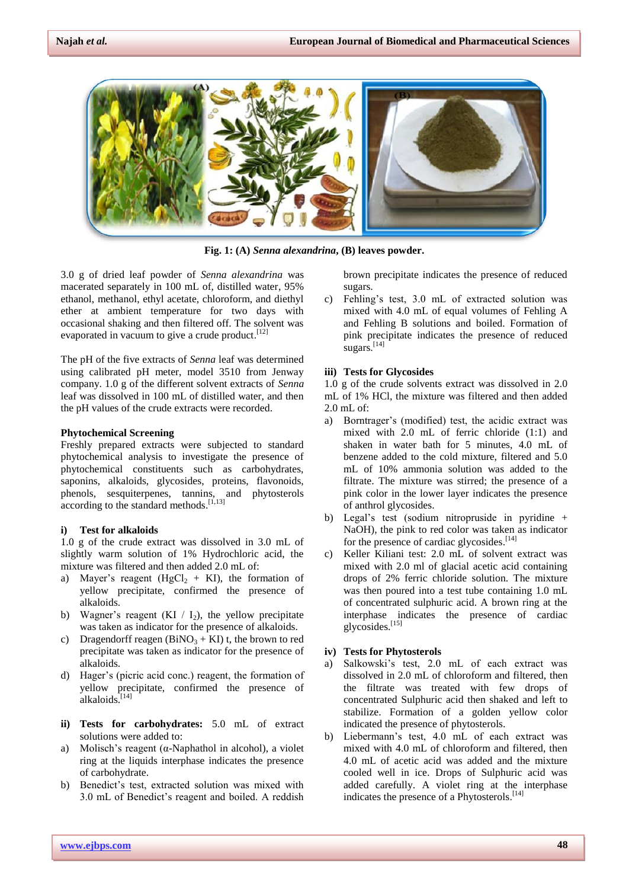

**Fig. 1: (A)** *Senna alexandrina***, (B) leaves powder.**

3.0 g of dried leaf powder of *Senna alexandrina* was macerated separately in 100 mL of, distilled water, 95% ethanol, methanol, ethyl acetate, chloroform, and diethyl ether at ambient temperature for two days with occasional shaking and then filtered off. The solvent was evaporated in vacuum to give a crude product.<sup>[12]</sup>

The pH of the five extracts of *Senna* leaf was determined using calibrated pH meter, model 3510 from Jenway company. 1.0 g of the different solvent extracts of *Senna* leaf was dissolved in 100 mL of distilled water, and then the pH values of the crude extracts were recorded.

#### **Phytochemical Screening**

Freshly prepared extracts were subjected to standard phytochemical analysis to investigate the presence of phytochemical constituents such as carbohydrates, saponins, alkaloids, glycosides, proteins, flavonoids, phenols, sesquiterpenes, tannins, and phytosterols according to the standard methods.<sup>[1,13]</sup>

#### **i) Test for alkaloids**

1.0 g of the crude extract was dissolved in 3.0 mL of slightly warm solution of 1% Hydrochloric acid, the mixture was filtered and then added 2.0 mL of:

- a) Mayer's reagent ( $HgCl<sub>2</sub> + KI$ ), the formation of yellow precipitate, confirmed the presence of alkaloids.
- b) Wagner's reagent  $(KI / I_2)$ , the yellow precipitate was taken as indicator for the presence of alkaloids.
- c) Dragendorff reagen  $(BiNO<sub>3</sub> + KI)$  t, the brown to red precipitate was taken as indicator for the presence of alkaloids.
- d) Hager's (picric acid conc.) reagent, the formation of yellow precipitate, confirmed the presence of alkaloids.<sup>[14]</sup>
- **ii) Tests for carbohydrates:** 5.0 mL of extract solutions were added to:
- a) Molisch's reagent (α-Naphathol in alcohol), a violet ring at the liquids interphase indicates the presence of carbohydrate.
- b) Benedict's test, extracted solution was mixed with 3.0 mL of Benedict's reagent and boiled. A reddish

brown precipitate indicates the presence of reduced sugars.

c) Fehling's test, 3.0 mL of extracted solution was mixed with 4.0 mL of equal volumes of Fehling A and Fehling B solutions and boiled. Formation of pink precipitate indicates the presence of reduced sugars.<sup>[14]</sup>

#### **iii) Tests for Glycosides**

1.0 g of the crude solvents extract was dissolved in 2.0 mL of 1% HCl, the mixture was filtered and then added 2.0 mL of:

- a) Borntrager's (modified) test, the acidic extract was mixed with 2.0 mL of ferric chloride (1:1) and shaken in water bath for 5 minutes, 4.0 mL of benzene added to the cold mixture, filtered and 5.0 mL of 10% ammonia solution was added to the filtrate. The mixture was stirred; the presence of a pink color in the lower layer indicates the presence of anthrol glycosides.
- b) Legal's test (sodium nitropruside in pyridine + NaOH), the pink to red color was taken as indicator for the presence of cardiac glycosides.<sup>[14]</sup>
- c) Keller Kiliani test: 2.0 mL of solvent extract was mixed with 2.0 ml of glacial acetic acid containing drops of 2% ferric chloride solution. The mixture was then poured into a test tube containing 1.0 mL of concentrated sulphuric acid. A brown ring at the interphase indicates the presence of cardiac glycosides. [15]

# **iv) Tests for Phytosterols**

- a) Salkowski's test, 2.0 mL of each extract was dissolved in 2.0 mL of chloroform and filtered, then the filtrate was treated with few drops of concentrated Sulphuric acid then shaked and left to stabilize. Formation of a golden yellow color indicated the presence of phytosterols.
- b) Liebermann's test, 4.0 mL of each extract was mixed with 4.0 mL of chloroform and filtered, then 4.0 mL of acetic acid was added and the mixture cooled well in ice. Drops of Sulphuric acid was added carefully. A violet ring at the interphase indicates the presence of a Phytosterols.<sup>[14]</sup>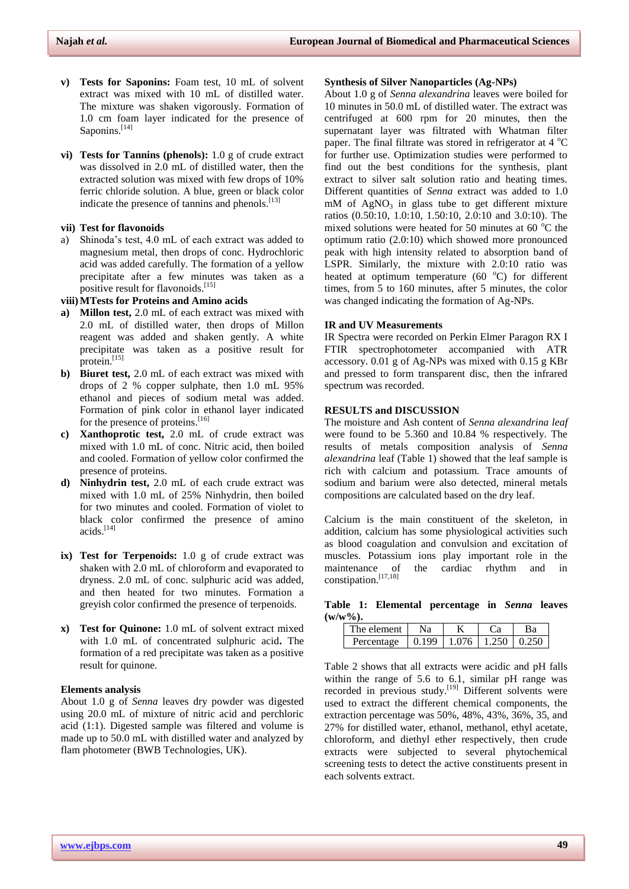- **v) Tests for Saponins:** Foam test, 10 mL of solvent extract was mixed with 10 mL of distilled water. The mixture was shaken vigorously. Formation of 1.0 cm foam layer indicated for the presence of Saponins.<sup>[14]</sup>
- **vi) Tests for Tannins (phenols):** 1.0 g of crude extract was dissolved in 2.0 mL of distilled water, then the extracted solution was mixed with few drops of 10% ferric chloride solution. A blue, green or black color indicate the presence of tannins and phenols.<sup>[13]</sup>

# **vii) Test for flavonoids**

a) Shinoda's test, 4.0 mL of each extract was added to magnesium metal, then drops of conc. Hydrochloric acid was added carefully. The formation of a yellow precipitate after a few minutes was taken as a positive result for flavonoids.<sup>[15]</sup>

**viii)MTests for Proteins and Amino acids**

- **a) Millon test,** 2.0 mL of each extract was mixed with 2.0 mL of distilled water, then drops of Millon reagent was added and shaken gently. A white precipitate was taken as a positive result for protein.<sup>[15]</sup>
- **b) Biuret test,** 2.0 mL of each extract was mixed with drops of 2 % copper sulphate, then 1.0 mL 95% ethanol and pieces of sodium metal was added. Formation of pink color in ethanol layer indicated for the presence of proteins.<sup>[16]</sup>
- **c) Xanthoprotic test,** 2.0 mL of crude extract was mixed with 1.0 mL of conc. Nitric acid, then boiled and cooled. Formation of yellow color confirmed the presence of proteins.
- **d) Ninhydrin test,** 2.0 mL of each crude extract was mixed with 1.0 mL of 25% Ninhydrin, then boiled for two minutes and cooled. Formation of violet to black color confirmed the presence of amino acids. [14]
- **ix) Test for Terpenoids:** 1.0 g of crude extract was shaken with 2.0 mL of chloroform and evaporated to dryness. 2.0 mL of conc. sulphuric acid was added, and then heated for two minutes. Formation a greyish color confirmed the presence of terpenoids.
- **x) Test for Quinone:** 1.0 mL of solvent extract mixed with 1.0 mL of concentrated sulphuric acid**.** The formation of a red precipitate was taken as a positive result for quinone.

# **Elements analysis**

About 1.0 g of *Senna* leaves dry powder was digested using 20.0 mL of mixture of nitric acid and perchloric acid (1:1). Digested sample was filtered and volume is made up to 50.0 mL with distilled water and analyzed by flam photometer (BWB Technologies, UK).

#### **Synthesis of Silver Nanoparticles (Ag-NPs)**

About 1.0 g of *Senna alexandrina* leaves were boiled for 10 minutes in 50.0 mL of distilled water. The extract was centrifuged at 600 rpm for 20 minutes, then the supernatant layer was filtrated with Whatman filter paper. The final filtrate was stored in refrigerator at  $4^{\circ}C$ for further use. Optimization studies were performed to find out the best conditions for the synthesis, plant extract to silver salt solution ratio and heating times. Different quantities of *Senna* extract was added to 1.0  $mM$  of AgNO<sub>3</sub> in glass tube to get different mixture ratios (0.50:10, 1.0:10, 1.50:10, 2.0:10 and 3.0:10). The mixed solutions were heated for 50 minutes at 60 $\degree$ C the optimum ratio (2.0:10) which showed more pronounced peak with high intensity related to absorption band of LSPR. Similarly, the mixture with 2.0:10 ratio was heated at optimum temperature (60 $^{\circ}$ C) for different times, from 5 to 160 minutes, after 5 minutes, the color was changed indicating the formation of Ag-NPs.

# **IR and UV Measurements**

IR Spectra were recorded on Perkin Elmer Paragon RX I FTIR spectrophotometer accompanied with ATR accessory. 0.01 g of Ag-NPs was mixed with 0.15 g KBr and pressed to form transparent disc, then the infrared spectrum was recorded.

# **RESULTS and DISCUSSION**

The moisture and Ash content of *Senna alexandrina leaf* were found to be 5.360 and 10.84 % respectively. The results of metals composition analysis of *Senna alexandrina* leaf (Table 1) showed that the leaf sample is rich with calcium and potassium. Trace amounts of sodium and barium were also detected, mineral metals compositions are calculated based on the dry leaf.

Calcium is the main constituent of the skeleton, in addition, calcium has some physiological activities such as blood coagulation and convulsion and excitation of muscles. Potassium ions play important role in the maintenance of the cardiac rhythm and in constipation. [17,18]

**Table 1: Elemental percentage in** *Senna* **leaves (w/w%).**

| The element 1                                        | Nа |  |  |
|------------------------------------------------------|----|--|--|
| Percentage $\pm 0.199 \pm 1.076 \pm 1.250 \pm 0.250$ |    |  |  |

Table 2 shows that all extracts were acidic and pH falls within the range of 5.6 to 6.1, similar pH range was recorded in previous study.<sup>[19]</sup> Different solvents were used to extract the different chemical components, the extraction percentage was 50%, 48%, 43%, 36%, 35, and 27% for distilled water, ethanol, methanol, ethyl acetate, chloroform, and diethyl ether respectively, then crude extracts were subjected to several phytochemical screening tests to detect the active constituents present in each solvents extract.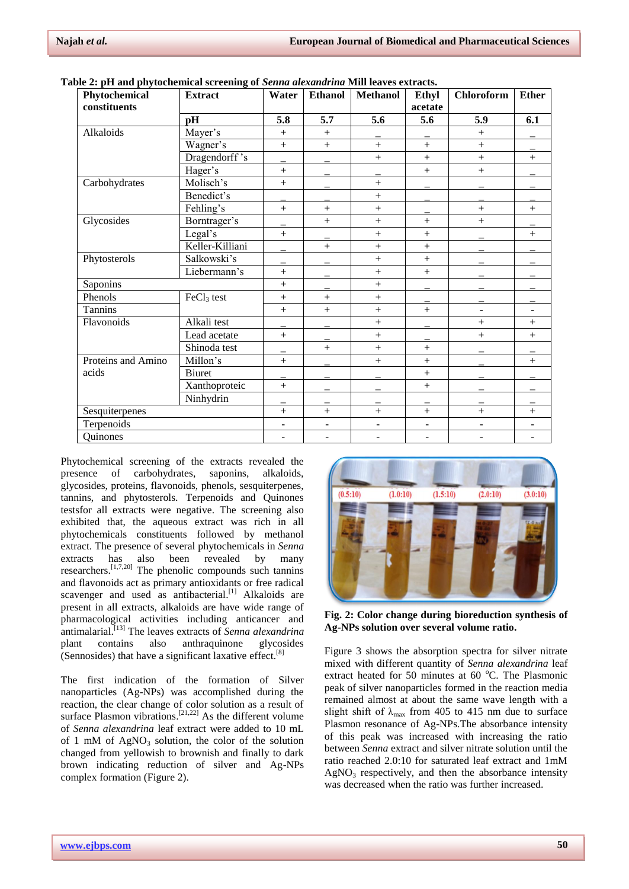| $\sigma$ . It and phytochemical servening or beliau alexanum independences extracts.<br>Phytochemical<br>constituents | <b>Extract</b>         | Water     | <b>Ethanol</b> | <b>Methanol</b> | Ethyl<br>acetate         | <b>Chloroform</b> | <b>Ether</b> |
|-----------------------------------------------------------------------------------------------------------------------|------------------------|-----------|----------------|-----------------|--------------------------|-------------------|--------------|
|                                                                                                                       | pH                     | 5.8       | 5.7            | 5.6             | 5.6                      | 5.9               | 6.1          |
| Alkaloids                                                                                                             | Mayer's                | $+$       | $^{+}$         |                 |                          | $+$               |              |
|                                                                                                                       | Wagner's               | $+$       | $^{+}$         | $^{+}$          | $+$                      | $\ddot{}$         |              |
|                                                                                                                       | Dragendorff's          |           |                | $^{+}$          | $+$                      | $+$               | $+$          |
|                                                                                                                       | Hager's                | $+$       |                |                 | $+$                      | $+$               |              |
| Carbohydrates                                                                                                         | Molisch's              | $\ddot{}$ |                | $^{+}$          |                          |                   |              |
|                                                                                                                       | Benedict's             |           |                | $^{+}$          |                          |                   |              |
|                                                                                                                       | Fehling's              | $+$       | $^{+}$         | $\! + \!$       |                          |                   | $^{+}$       |
| Glycosides                                                                                                            | Borntrager's           |           | $^{+}$         | $+$             | $+$                      | $+$               |              |
|                                                                                                                       | Legal's                | $^{+}$    |                | $^{+}$          | $+$                      |                   | $^{+}$       |
|                                                                                                                       | Keller-Killiani        |           | $^{+}$         | $^{+}$          | $+$                      |                   |              |
| Phytosterols                                                                                                          | Salkowski's            |           |                | $^{+}$          | $+$                      |                   |              |
|                                                                                                                       | Liebermann's           | $+$       |                | $^{+}$          | $+$                      |                   |              |
| Saponins                                                                                                              |                        | $+$       |                | $^{+}$          |                          |                   |              |
| Phenols                                                                                                               | FeCl <sub>3</sub> test | $^{+}$    | $^{+}$         | $^{+}$          |                          |                   |              |
| Tannins                                                                                                               |                        | $+$       | $^{+}$         | $+$             | $+$                      |                   |              |
| Flavonoids                                                                                                            | Alkali test            |           |                | $^{+}$          |                          | $+$               | $^{+}$       |
|                                                                                                                       | Lead acetate           | $+$       |                | $^{+}$          |                          | $+$               | $+$          |
|                                                                                                                       | Shinoda test           |           | $^{+}$         | $^{+}$          | $+$                      |                   |              |
| Proteins and Amino                                                                                                    | Millon's               | $+$       |                | $^{+}$          | $\ddot{}$                |                   | $^{+}$       |
| acids                                                                                                                 | Biuret                 |           |                |                 | $+$                      |                   |              |
|                                                                                                                       | Xanthoproteic          | $+$       |                |                 | $^{+}$                   |                   |              |
|                                                                                                                       | Ninhydrin              |           |                |                 | $\overline{\phantom{0}}$ |                   |              |
| Sesquiterpenes                                                                                                        |                        | $+$       | $^{+}$         | $^{+}$          | $+$                      | $+$               | $^{+}$       |
| Terpenoids                                                                                                            |                        |           |                |                 | $\overline{\phantom{a}}$ |                   |              |
| Quinones                                                                                                              |                        |           |                |                 | ÷,                       |                   |              |

**Table 2: pH and phytochemical screening of** *Senna alexandrina* **Mill leaves extracts.**

Phytochemical screening of the extracts revealed the presence of carbohydrates, saponins, alkaloids, glycosides, proteins, flavonoids, phenols, sesquiterpenes, tannins, and phytosterols. Terpenoids and Quinones testsfor all extracts were negative. The screening also exhibited that, the aqueous extract was rich in all phytochemicals constituents followed by methanol extract. The presence of several phytochemicals in *Senna* extracts has also been revealed by many researchers.<sup>[1,7,20]</sup> The phenolic compounds such tannins and flavonoids act as primary antioxidants or free radical scavenger and used as antibacterial.<sup>[1]</sup> Alkaloids are present in all extracts, alkaloids are have wide range of pharmacological activities including anticancer and antimalarial. [13] The leaves extracts of *Senna alexandrina* plant contains also anthraquinone glycosides (Sennosides) that have a significant laxative effect.<sup>[8]</sup>

The first indication of the formation of Silver nanoparticles (Ag-NPs) was accomplished during the reaction, the clear change of color solution as a result of surface Plasmon vibrations.  $[21,22]$  As the different volume of *Senna alexandrina* leaf extract were added to 10 mL of 1 mM of  $AgNO_3$  solution, the color of the solution changed from yellowish to brownish and finally to dark brown indicating reduction of silver and Ag-NPs complex formation (Figure 2).



**Fig. 2: Color change during bioreduction synthesis of Ag-NPs solution over several volume ratio.**

Figure 3 shows the absorption spectra for silver nitrate mixed with different quantity of *Senna alexandrina* leaf extract heated for 50 minutes at 60  $^{\circ}$ C. The Plasmonic peak of silver nanoparticles formed in the reaction media remained almost at about the same wave length with a slight shift of  $\lambda_{\text{max}}$  from 405 to 415 nm due to surface Plasmon resonance of Ag-NPs.The absorbance intensity of this peak was increased with increasing the ratio between *Senna* extract and silver nitrate solution until the ratio reached 2.0:10 for saturated leaf extract and 1mM  $AgNO<sub>3</sub>$  respectively, and then the absorbance intensity was decreased when the ratio was further increased.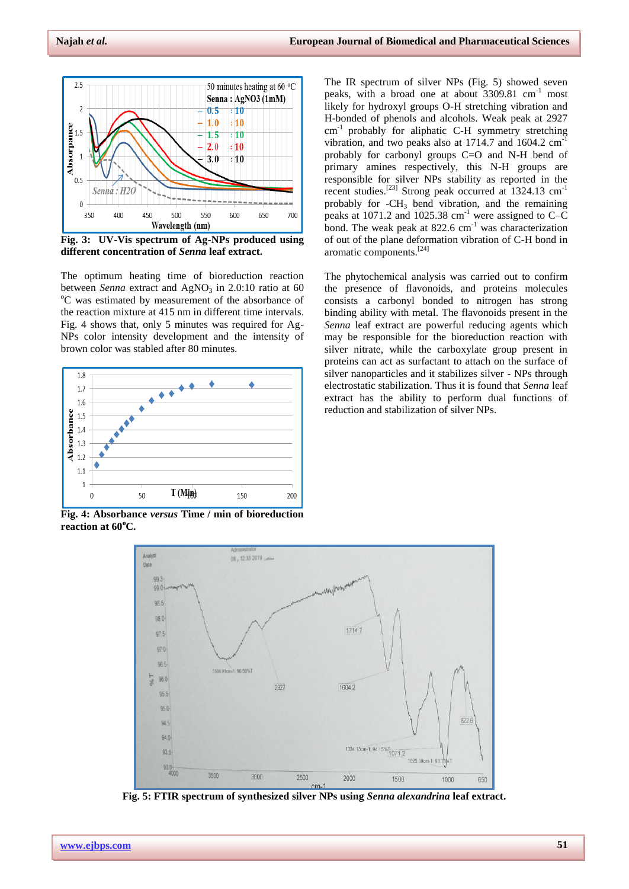

**Fig. 3: UV-Vis spectrum of Ag-NPs produced using different concentration of** *Senna* **leaf extract.**

The optimum heating time of bioreduction reaction between *Senna* extract and  $AgNO<sub>3</sub>$  in 2.0:10 ratio at 60 <sup>o</sup>C was estimated by measurement of the absorbance of the reaction mixture at 415 nm in different time intervals. Fig. 4 shows that, only 5 minutes was required for Ag-NPs color intensity development and the intensity of brown color was stabled after 80 minutes.



**Fig. 4: Absorbance** *versus* **Time / min of bioreduction reaction at 60<sup>o</sup>C.**

The IR spectrum of silver NPs (Fig. 5) showed seven peaks, with a broad one at about  $3309.81 \text{ cm}^{-1}$  most likely for hydroxyl groups O-H stretching vibration and H-bonded of phenols and alcohols. Weak peak at 2927  $cm^{-1}$  probably for aliphatic C-H symmetry stretching vibration, and two peaks also at  $1714.7$  and  $1604.2$  cm<sup>-1</sup> probably for carbonyl groups C=O and N-H bend of primary amines respectively, this N-H groups are responsible for silver NPs stability as reported in the recent studies.<sup>[23]</sup> Strong peak occurred at 1324.13 cm<sup>-1</sup> probably for  $-CH_3$  bend vibration, and the remaining peaks at 1071.2 and 1025.38  $cm^{-1}$  were assigned to C–C bond. The weak peak at  $822.6$  cm<sup>-1</sup> was characterization of out of the plane deformation vibration of C-H bond in aromatic components. [24]

The phytochemical analysis was carried out to confirm the presence of flavonoids, and proteins molecules consists a carbonyl bonded to nitrogen has strong binding ability with metal. The flavonoids present in the *Senna* leaf extract are powerful reducing agents which may be responsible for the bioreduction reaction with silver nitrate, while the carboxylate group present in proteins can act as surfactant to attach on the surface of silver nanoparticles and it stabilizes silver - NPs through electrostatic stabilization. Thus it is found that *Senna* leaf extract has the ability to perform dual functions of reduction and stabilization of silver NPs.



**Fig. 5: FTIR spectrum of synthesized silver NPs using** *Senna alexandrina* **leaf extract.**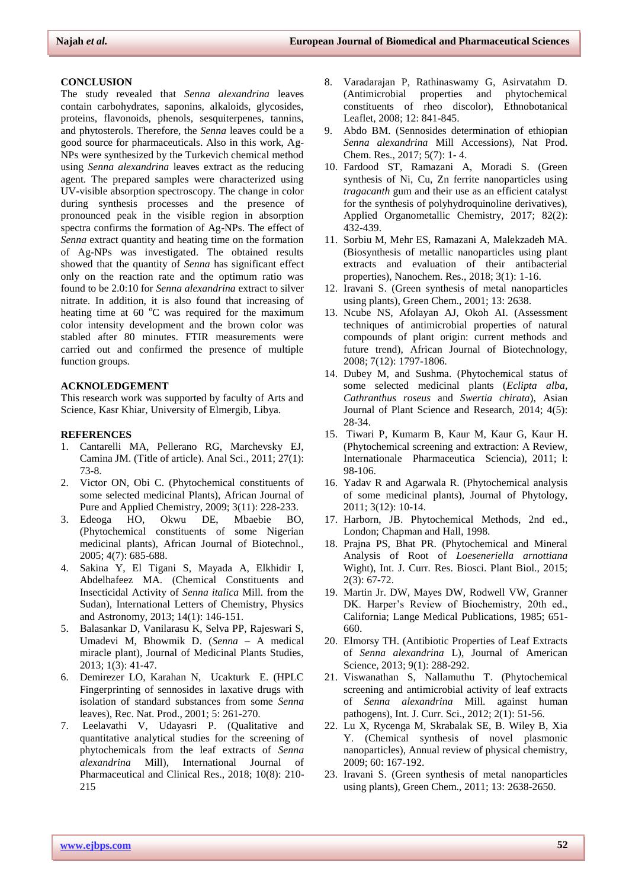#### **CONCLUSION**

The study revealed that *Senna alexandrina* leaves contain carbohydrates, saponins, alkaloids, glycosides, proteins, flavonoids, phenols, sesquiterpenes, tannins, and phytosterols. Therefore, the *Senna* leaves could be a good source for pharmaceuticals. Also in this work, Ag-NPs were synthesized by the Turkevich chemical method using *Senna alexandrina* leaves extract as the reducing agent. The prepared samples were characterized using UV-visible absorption spectroscopy. The change in color during synthesis processes and the presence of pronounced peak in the visible region in absorption spectra confirms the formation of Ag-NPs. The effect of *Senna* extract quantity and heating time on the formation of Ag-NPs was investigated. The obtained results showed that the quantity of *Senna* has significant effect only on the reaction rate and the optimum ratio was found to be 2.0:10 for *Senna alexandrina* extract to silver nitrate. In addition, it is also found that increasing of heating time at  $60^{\circ}$ C was required for the maximum color intensity development and the brown color was stabled after 80 minutes. FTIR measurements were carried out and confirmed the presence of multiple function groups.

# **ACKNOLEDGEMENT**

This research work was supported by faculty of Arts and Science, Kasr Khiar, University of Elmergib, Libya.

#### **REFERENCES**

- 1. Cantarelli MA, Pellerano RG, Marchevsky EJ, Camina JM. (Title of article). Anal Sci., 2011; 27(1): 73-8.
- 2. Victor ON, Obi C. (Phytochemical constituents of some selected medicinal Plants), African Journal of Pure and Applied Chemistry, 2009; 3(11): 228-233.
- 3. Edeoga HO, Okwu DE, Mbaebie BO, (Phytochemical constituents of some Nigerian medicinal plants), African Journal of Biotechnol., 2005; 4(7): 685-688.
- 4. Sakina Y, El Tigani S, Mayada A, Elkhidir I, Abdelhafeez MA. (Chemical Constituents and Insecticidal Activity of *Senna italica* Mill. from the Sudan), International Letters of Chemistry, Physics and Astronomy, 2013; 14(1): 146-151.
- 5. Balasankar D, Vanilarasu K, Selva PP, Rajeswari S, Umadevi M, Bhowmik D. (*Senna* – A medical miracle plant), Journal of Medicinal Plants Studies, 2013; 1(3): 41-47.
- 6. Demirezer LO, Karahan N, Ucakturk E. (HPLC Fingerprinting of sennosides in laxative drugs with isolation of standard substances from some *Senna* leaves), Rec. Nat. Prod., 2001; 5: 261-270.
- 7. Leelavathi V, Udayasri P. (Qualitative and quantitative analytical studies for the screening of phytochemicals from the leaf extracts of *Senna alexandrina* Mill), International Journal of Pharmaceutical and Clinical Res., 2018; 10(8): 210- 215
- 8. Varadarajan P, Rathinaswamy G, Asirvatahm D. (Antimicrobial properties and phytochemical constituents of rheo discolor), Ethnobotanical Leaflet, 2008; 12: 841-845.
- 9. Abdo BM. (Sennosides determination of ethiopian *Senna alexandrina* Mill Accessions), Nat Prod. Chem. Res., 2017; 5(7): 1- 4.
- 10. Fardood ST, Ramazani A, Moradi S. (Green synthesis of Ni, Cu, Zn ferrite nanoparticles using *tragacanth* gum and their use as an efficient catalyst for the synthesis of polyhydroquinoline derivatives), Applied Organometallic Chemistry, 2017; 82(2): 432-439.
- 11. Sorbiu M, Mehr ES, Ramazani A, Malekzadeh MA. (Biosynthesis of metallic nanoparticles using plant extracts and evaluation of their antibacterial properties), Nanochem. Res., 2018; 3(1): 1-16.
- 12. Iravani S. (Green synthesis of metal nanoparticles using plants), Green Chem., 2001; 13: 2638.
- 13. Ncube NS, Afolayan AJ, Okoh AI. (Assessment techniques of antimicrobial properties of natural compounds of plant origin: current methods and future trend), African Journal of Biotechnology, 2008; 7(12): 1797-1806.
- 14. Dubey M, and Sushma. (Phytochemical status of some selected medicinal plants (*Eclipta alba, Cathranthus roseus* and *Swertia chirata*), Asian Journal of Plant Science and Research, 2014; 4(5): 28-34.
- 15. Tiwari P, Kumarm B, Kaur M, Kaur G, Kaur H. (Phytochemical screening and extraction: A Review, Internationale Pharmaceutica Sciencia), 2011; l: 98-106.
- 16. Yadav R and Agarwala R. (Phytochemical analysis of some medicinal plants), Journal of Phytology, 2011; 3(12): 10-14.
- 17. Harborn, JB. Phytochemical Methods, 2nd ed., London; Chapman and Hall, 1998.
- 18. Prajna PS, Bhat PR. (Phytochemical and Mineral Analysis of Root of *Loeseneriella arnottiana* Wight), Int. J. Curr. Res. Biosci. Plant Biol., 2015; 2(3): 67-72.
- 19. Martin Jr. DW, Mayes DW, Rodwell VW, Granner DK. Harper's Review of Biochemistry, 20th ed., California; Lange Medical Publications, 1985; 651- 660.
- 20. Elmorsy TH. (Antibiotic Properties of Leaf Extracts of *Senna alexandrina* L), Journal of American Science, 2013; 9(1): 288-292.
- 21. Viswanathan S, Nallamuthu T. (Phytochemical screening and antimicrobial activity of leaf extracts of *Senna alexandrina* Mill. against human pathogens), Int. J. Curr. Sci., 2012; 2(1): 51-56.
- 22. Lu X, Rycenga M, Skrabalak SE, B. Wiley B, Xia Y. (Chemical synthesis of novel plasmonic nanoparticles), Annual review of physical chemistry, 2009; 60: 167-192.
- 23. Iravani S. (Green synthesis of metal nanoparticles using plants), Green Chem., 2011; 13: 2638-2650.